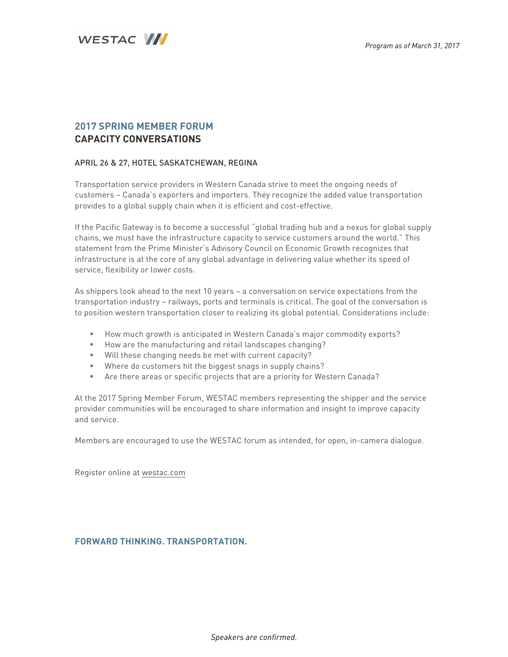

### **2017 SPRING MEMBER FORUM CAPACITY CONVERSATIONS**

#### APRIL 26 & 27, HOTEL SASKATCHEWAN, REGINA

Transportation service providers in Western Canada strive to meet the ongoing needs of customers – Canada's exporters and importers. They recognize the added value transportation provides to a global supply chain when it is efficient and cost-effective.

If the Pacific Gateway is to become a successful "global trading hub and a nexus for global supply chains, we must have the infrastructure capacity to service customers around the world." This statement from the Prime Minister's Advisory Council on Economic Growth recognizes that infrastructure is at the core of any global advantage in delivering value whether its speed of service, flexibility or lower costs.

As shippers look ahead to the next 10 years – a conversation on service expectations from the transportation industry – railways, ports and terminals is critical. The goal of the conversation is to position western transportation closer to realizing its global potential. Considerations include:

- § How much growth is anticipated in Western Canada's major commodity exports?
- § How are the manufacturing and retail landscapes changing?
- § Will these changing needs be met with current capacity?
- Where do customers hit the biggest snags in supply chains?
- § Are there areas or specific projects that are a priority for Western Canada?

At the 2017 Spring Member Forum, WESTAC members representing the shipper and the service provider communities will be encouraged to share information and insight to improve capacity and service.

Members are encouraged to use the WESTAC forum as intended, for open, in-camera dialogue.

Register online at westac.com

#### **FORWARD THINKING. TRANSPORTATION.**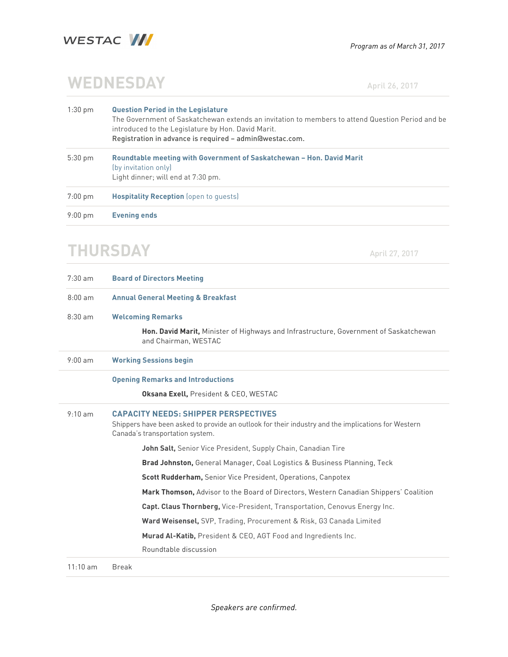

# **WEDNESDAY** April 26, 2017

1:30 pm **Question Period in the Legislature** The Government of Saskatchewan extends an invitation to members to attend Question Period and be introduced to the Legislature by Hon. David Marit. Registration in advance is required – admin@westac.com. 5:30 pm **Roundtable meeting with Government of Saskatchewan – Hon. David Marit** (by invitation only) Light dinner; will end at 7:30 pm. 7:00 pm **Hospitality Reception** (open to guests) 9:00 pm **Evening ends**

## **THURSDAY** April 27, 2017

| $7:30$ am          | <b>Board of Directors Meeting</b>                                                                                                                                                    |
|--------------------|--------------------------------------------------------------------------------------------------------------------------------------------------------------------------------------|
| $8:00$ am          | <b>Annual General Meeting &amp; Breakfast</b>                                                                                                                                        |
| $8:30$ am          | <b>Welcoming Remarks</b>                                                                                                                                                             |
|                    | Hon. David Marit, Minister of Highways and Infrastructure, Government of Saskatchewan<br>and Chairman, WESTAC                                                                        |
| $9:00$ am          | <b>Working Sessions begin</b>                                                                                                                                                        |
|                    | <b>Opening Remarks and Introductions</b>                                                                                                                                             |
|                    | <b>Oksana Exell, President &amp; CEO, WESTAC</b>                                                                                                                                     |
| $9:10$ am          | <b>CAPACITY NEEDS: SHIPPER PERSPECTIVES</b><br>Shippers have been asked to provide an outlook for their industry and the implications for Western<br>Canada's transportation system. |
|                    | John Salt, Senior Vice President, Supply Chain, Canadian Tire                                                                                                                        |
|                    | <b>Brad Johnston, General Manager, Coal Logistics &amp; Business Planning, Teck</b>                                                                                                  |
|                    | <b>Scott Rudderham, Senior Vice President, Operations, Canpotex</b>                                                                                                                  |
|                    | Mark Thomson, Advisor to the Board of Directors, Western Canadian Shippers' Coalition                                                                                                |
|                    | <b>Capt. Claus Thornberg, Vice-President, Transportation, Cenovus Energy Inc.</b>                                                                                                    |
|                    | Ward Weisensel, SVP, Trading, Procurement & Risk, G3 Canada Limited                                                                                                                  |
|                    | Murad Al-Katib, President & CEO, AGT Food and Ingredients Inc.                                                                                                                       |
|                    | Roundtable discussion                                                                                                                                                                |
| $11:10 \text{ am}$ | <b>Break</b>                                                                                                                                                                         |